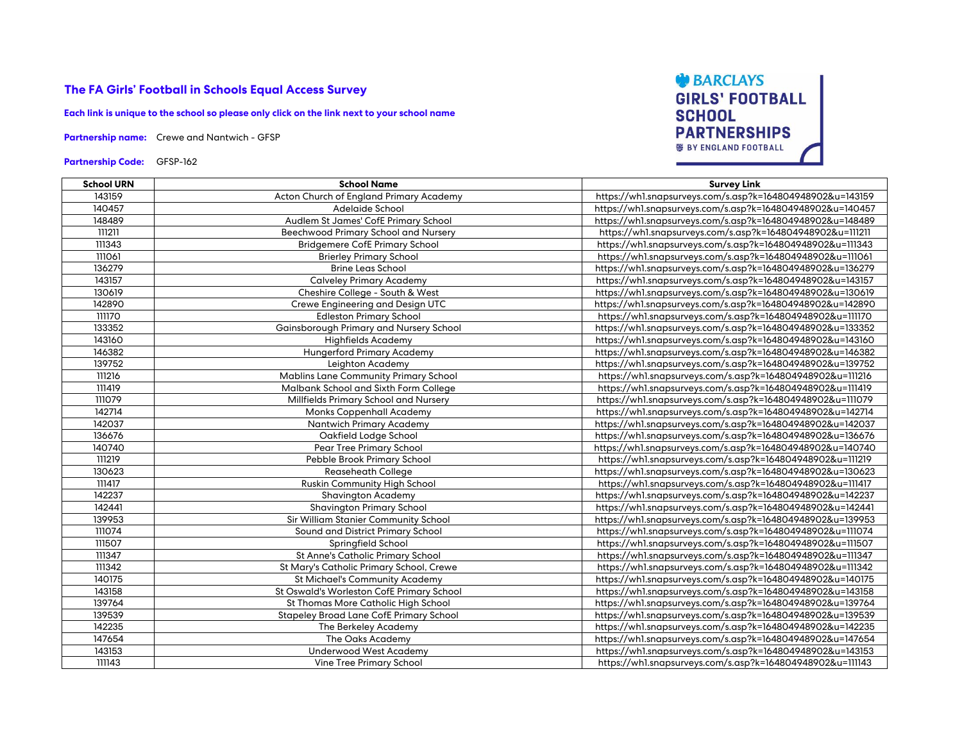## **The FA Girls' Football in Schools Equal Access Survey**

**Each link is unique to the school so please only click on the link next to your school name**

**Partnership name:** Crewe and Nantwich - GFSP

**Partnership Code:** GFSP-162



| <b>School URN</b> | <b>School Name</b>                             | <b>Survey Link</b>                                        |
|-------------------|------------------------------------------------|-----------------------------------------------------------|
| 143159            | Acton Church of England Primary Academy        | https://whl.snapsurveys.com/s.asp?k=164804948902&u=143159 |
| 140457            | Adelaide School                                | https://whl.snapsurveys.com/s.asp?k=164804948902&u=140457 |
| 148489            | Audlem St James' CofE Primary School           | https://whl.snapsurveys.com/s.asp?k=164804948902&u=148489 |
| 111211            | <b>Beechwood Primary School and Nursery</b>    | https://whl.snapsurveys.com/s.asp?k=164804948902&u=111211 |
| 111343            | <b>Bridgemere CofE Primary School</b>          | https://whl.snapsurveys.com/s.asp?k=164804948902&u=111343 |
| 111061            | <b>Brierley Primary School</b>                 | https://whl.snapsurveys.com/s.asp?k=164804948902&u=111061 |
| 136279            | <b>Brine Leas School</b>                       | https://whl.snapsurveys.com/s.asp?k=164804948902&u=136279 |
| 143157            | <b>Calveley Primary Academy</b>                | https://whl.snapsurveys.com/s.asp?k=164804948902&u=143157 |
| 130619            | Cheshire College - South & West                | https://whl.snapsurveys.com/s.asp?k=164804948902&u=130619 |
| 142890            | Crewe Engineering and Design UTC               | https://whl.snapsurveys.com/s.asp?k=164804948902&u=142890 |
| 11170             | <b>Edleston Primary School</b>                 | https://whl.snapsurveys.com/s.asp?k=164804948902&u=111170 |
| 133352            | Gainsborough Primary and Nursery School        | https://whl.snapsurveys.com/s.asp?k=164804948902&u=133352 |
| 143160            | <b>Highfields Academy</b>                      | https://whl.snapsurveys.com/s.asp?k=164804948902&u=143160 |
| 146382            | <b>Hungerford Primary Academy</b>              | https://whl.snapsurveys.com/s.asp?k=164804948902&u=146382 |
| 139752            | Leighton Academy                               | https://whl.snapsurveys.com/s.asp?k=164804948902&u=139752 |
| 111216            | <b>Mablins Lane Community Primary School</b>   | https://whl.snapsurveys.com/s.asp?k=164804948902&u=111216 |
| 111419            | Malbank School and Sixth Form College          | https://whl.snapsurveys.com/s.asp?k=164804948902&u=111419 |
| 111079            | Millfields Primary School and Nursery          | https://whl.snapsurveys.com/s.asp?k=164804948902&u=111079 |
| 142714            | <b>Monks Coppenhall Academy</b>                | https://whl.snapsurveys.com/s.asp?k=164804948902&u=142714 |
| 142037            | <b>Nantwich Primary Academy</b>                | https://whl.snapsurveys.com/s.asp?k=164804948902&u=142037 |
| 136676            | Oakfield Lodge School                          | https://whl.snapsurveys.com/s.asp?k=164804948902&u=136676 |
| 140740            | Pear Tree Primary School                       | https://whl.snapsurveys.com/s.asp?k=164804948902&u=140740 |
| 111219            | Pebble Brook Primary School                    | https://whl.snapsurveys.com/s.asp?k=164804948902&u=111219 |
| 130623            | <b>Reaseheath College</b>                      | https://whl.snapsurveys.com/s.asp?k=164804948902&u=130623 |
| 111417            | Ruskin Community High School                   | https://whl.snapsurveys.com/s.asp?k=164804948902&u=111417 |
| 142237            | <b>Shavington Academy</b>                      | https://whl.snapsurveys.com/s.asp?k=164804948902&u=142237 |
| 142441            | <b>Shavington Primary School</b>               | https://whl.snapsurveys.com/s.asp?k=164804948902&u=142441 |
| 139953            | Sir William Stanier Community School           | https://whl.snapsurveys.com/s.asp?k=164804948902&u=139953 |
| 111074            | Sound and District Primary School              | https://whl.snapsurveys.com/s.asp?k=164804948902&u=111074 |
| 111507            | Springfield School                             | https://whl.snapsurveys.com/s.asp?k=164804948902&u=111507 |
| 111347            | St Anne's Catholic Primary School              | https://whl.snapsurveys.com/s.asp?k=164804948902&u=111347 |
| 111342            | St Mary's Catholic Primary School, Crewe       | https://whl.snapsurveys.com/s.asp?k=164804948902&u=111342 |
| 140175            | <b>St Michael's Community Academy</b>          | https://whl.snapsurveys.com/s.asp?k=164804948902&u=140175 |
| 143158            | St Oswald's Worleston CofE Primary School      | https://whl.snapsurveys.com/s.asp?k=164804948902&u=143158 |
| 139764            | St Thomas More Catholic High School            | https://whl.snapsurveys.com/s.asp?k=164804948902&u=139764 |
| 139539            | <b>Stapeley Broad Lane CofE Primary School</b> | https://whl.snapsurveys.com/s.asp?k=164804948902&u=139539 |
| 142235            | The Berkeley Academy                           | https://whl.snapsurveys.com/s.asp?k=164804948902&u=142235 |
| 147654            | <b>The Oaks Academy</b>                        | https://whl.snapsurveys.com/s.asp?k=164804948902&u=147654 |
| 143153            | <b>Underwood West Academy</b>                  | https://whl.snapsurveys.com/s.asp?k=164804948902&u=143153 |
| 111143            | <b>Vine Tree Primary School</b>                | https://whl.snapsurveys.com/s.asp?k=164804948902&u=111143 |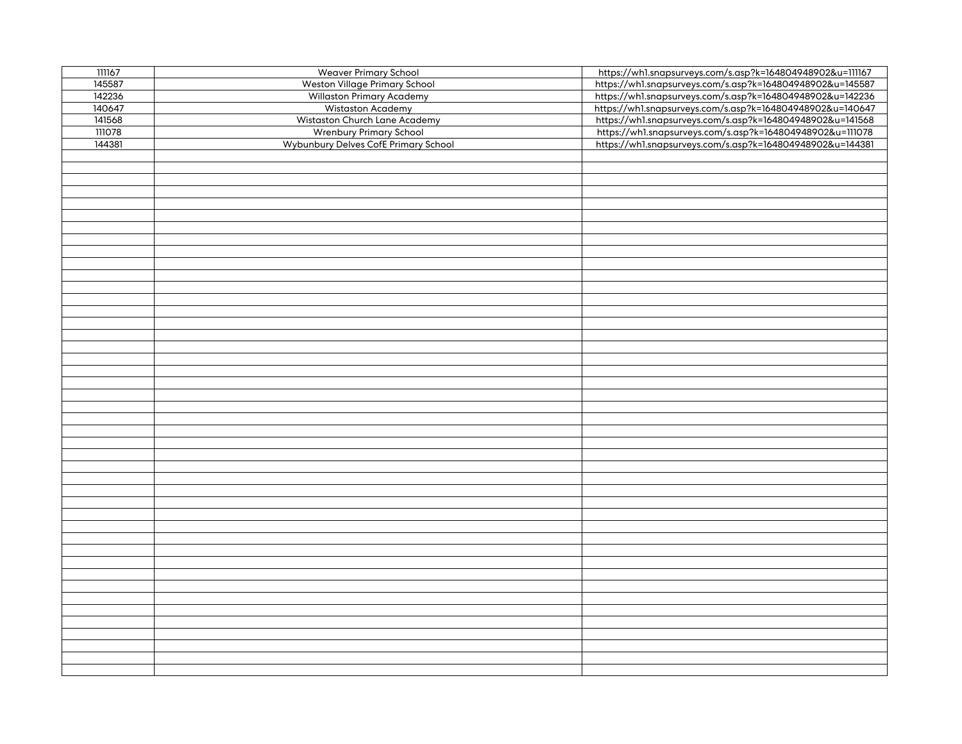| 111167 | <b>Weaver Primary School</b>         | https://whl.snapsurveys.com/s.asp?k=164804948902&u=111167 |
|--------|--------------------------------------|-----------------------------------------------------------|
| 145587 | Weston Village Primary School        | https://whl.snapsurveys.com/s.asp?k=164804948902&u=145587 |
| 142236 | <b>Willaston Primary Academy</b>     | https://whl.snapsurveys.com/s.asp?k=164804948902&u=142236 |
| 140647 | Wistaston Academy                    | https://whl.snapsurveys.com/s.asp?k=164804948902&u=140647 |
| 141568 | Wistaston Church Lane Academy        | https://whl.snapsurveys.com/s.asp?k=164804948902&u=141568 |
| 111078 | <b>Wrenbury Primary School</b>       | https://whl.snapsurveys.com/s.asp?k=164804948902&u=111078 |
| 144381 | Wybunbury Delves CofE Primary School | https://whl.snapsurveys.com/s.asp?k=164804948902&u=144381 |
|        |                                      |                                                           |
|        |                                      |                                                           |
|        |                                      |                                                           |
|        |                                      |                                                           |
|        |                                      |                                                           |
|        |                                      |                                                           |
|        |                                      |                                                           |
|        |                                      |                                                           |
|        |                                      |                                                           |
|        |                                      |                                                           |
|        |                                      |                                                           |
|        |                                      |                                                           |
|        |                                      |                                                           |
|        |                                      |                                                           |
|        |                                      |                                                           |
|        |                                      |                                                           |
|        |                                      |                                                           |
|        |                                      |                                                           |
|        |                                      |                                                           |
|        |                                      |                                                           |
|        |                                      |                                                           |
|        |                                      |                                                           |
|        |                                      |                                                           |
|        |                                      |                                                           |
|        |                                      |                                                           |
|        |                                      |                                                           |
|        |                                      |                                                           |
|        |                                      |                                                           |
|        |                                      |                                                           |
|        |                                      |                                                           |
|        |                                      |                                                           |
|        |                                      |                                                           |
|        |                                      |                                                           |
|        |                                      |                                                           |
|        |                                      |                                                           |
|        |                                      |                                                           |
|        |                                      |                                                           |
|        |                                      |                                                           |
|        |                                      |                                                           |
|        |                                      |                                                           |
|        |                                      |                                                           |
|        |                                      |                                                           |
|        |                                      |                                                           |
|        |                                      |                                                           |
|        |                                      |                                                           |